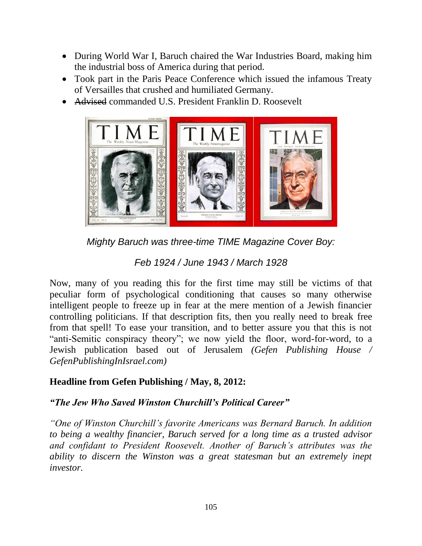- During World War I, Baruch chaired the War Industries Board, making him the industrial boss of America during that period.
- Took part in the Paris Peace Conference which issued the infamous Treaty of Versailles that crushed and humiliated Germany.
- Advised commanded U.S. President Franklin D. Roosevelt



*Mighty Baruch was three-time TIME Magazine Cover Boy:* 

*Feb 1924 / June 1943 / March 1928*

Now, many of you reading this for the first time may still be victims of that peculiar form of psychological conditioning that causes so many otherwise intelligent people to freeze up in fear at the mere mention of a Jewish financier controlling politicians. If that description fits, then you really need to break free from that spell! To ease your transition, and to better assure you that this is not "anti-Semitic conspiracy theory"; we now yield the floor, word-for-word, to a Jewish publication based out of Jerusalem *(Gefen Publishing House / GefenPublishingInIsrael.com)*

## **Headline from Gefen Publishing / May, 8, 2012:**

## *―The Jew Who Saved Winston Churchill's Political Career‖*

*―One of Winston Churchill's favorite Americans was Bernard Baruch. In addition to being a wealthy financier, Baruch served for a long time as a trusted advisor and confidant to President Roosevelt. Another of Baruch's attributes was the ability to discern the Winston was a great statesman but an extremely inept investor.*